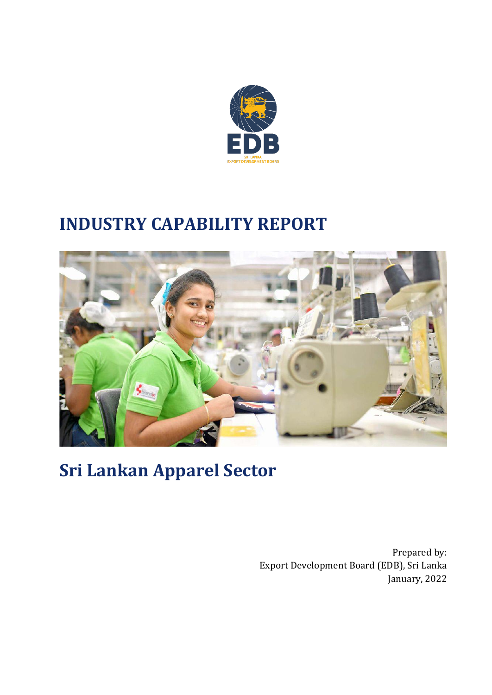

# **INDUSTRY CAPABILITY REPORT**



**Sri Lankan Apparel Sector**

Prepared by: Export Development Board (EDB), Sri Lanka January, 2022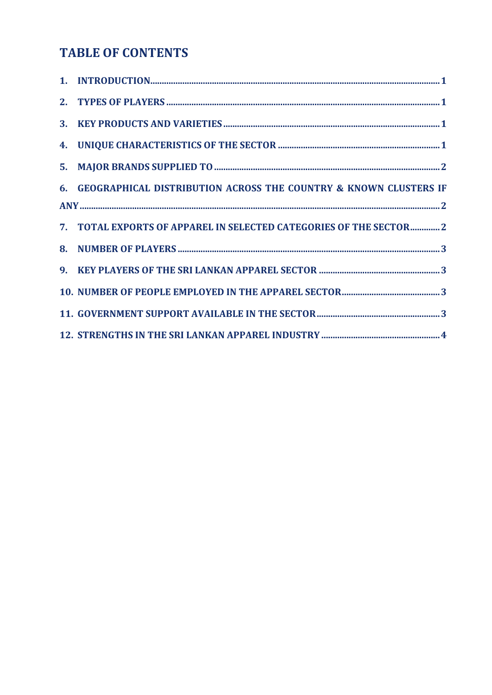# **TABLE OF CONTENTS**

| 6. GEOGRAPHICAL DISTRIBUTION ACROSS THE COUNTRY & KNOWN CLUSTERS IF |  |
|---------------------------------------------------------------------|--|
|                                                                     |  |
| 7. TOTAL EXPORTS OF APPAREL IN SELECTED CATEGORIES OF THE SECTOR2   |  |
|                                                                     |  |
|                                                                     |  |
|                                                                     |  |
|                                                                     |  |
|                                                                     |  |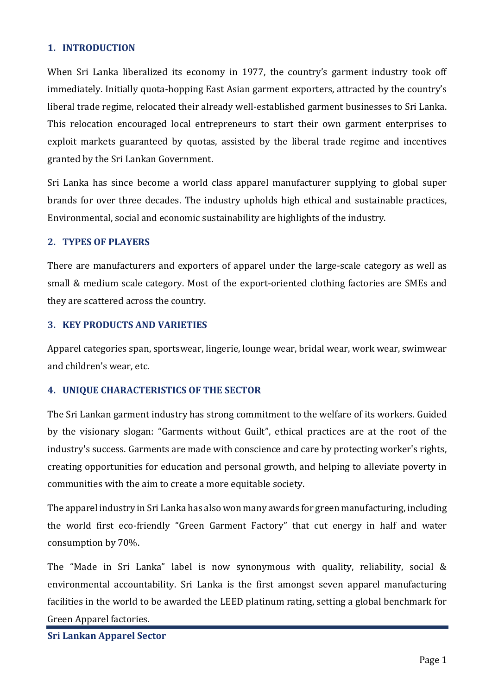## <span id="page-2-0"></span>**1. INTRODUCTION**

When Sri Lanka liberalized its economy in 1977, the country's garment industry took off immediately. Initially quota-hopping East Asian garment exporters, attracted by the country's liberal trade regime, relocated their already well-established garment businesses to Sri Lanka. This relocation encouraged local entrepreneurs to start their own garment enterprises to exploit markets guaranteed by quotas, assisted by the liberal trade regime and incentives granted by the Sri Lankan Government.

Sri Lanka has since become a world class apparel manufacturer supplying to global super brands for over three decades. The industry upholds high ethical and sustainable practices, Environmental, social and economic sustainability are highlights of the industry.

#### <span id="page-2-1"></span>**2. TYPES OF PLAYERS**

There are manufacturers and exporters of apparel under the large-scale category as well as small & medium scale category. Most of the export-oriented clothing factories are SMEs and they are scattered across the country.

#### <span id="page-2-2"></span>**3. KEY PRODUCTS AND VARIETIES**

Apparel categories span, sportswear, lingerie, lounge wear, bridal wear, work wear, swimwear and children's wear, etc.

# <span id="page-2-3"></span>**4. UNIQUE CHARACTERISTICS OF THE SECTOR**

The Sri Lankan garment industry has strong commitment to the welfare of its workers. Guided by the visionary slogan: "Garments without Guilt", ethical practices are at the root of the industry's success. Garments are made with conscience and care by protecting worker's rights, creating opportunities for education and personal growth, and helping to alleviate poverty in communities with the aim to create a more equitable society.

The apparel industry in Sri Lanka has also won many awards for green manufacturing, including the world first eco-friendly "Green Garment Factory" that cut energy in half and water consumption by 70%.

The "Made in Sri Lanka" label is now synonymous with quality, reliability, social & environmental accountability. Sri Lanka is the first amongst seven apparel manufacturing facilities in the world to be awarded the LEED platinum rating, setting a global benchmark for Green Apparel factories.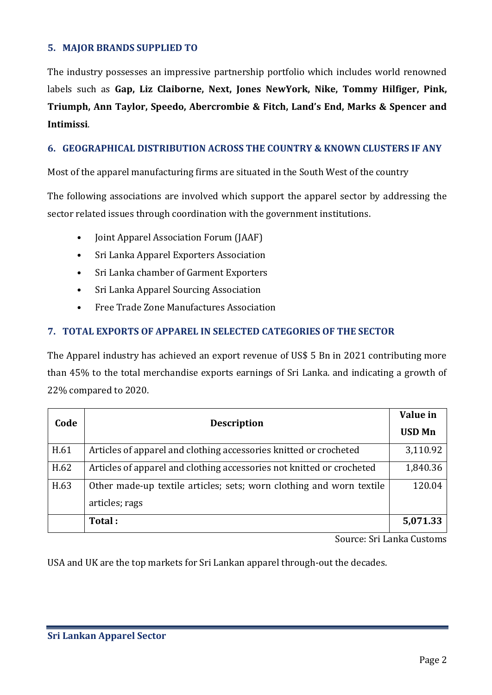### <span id="page-3-0"></span>**5. MAJOR BRANDS SUPPLIED TO**

The industry possesses an impressive partnership portfolio which includes world renowned labels such as **Gap, Liz Claiborne, Next, Jones NewYork, Nike, Tommy Hilfiger, Pink, Triumph, Ann Taylor, Speedo, Abercrombie & Fitch, Land's End, Marks & Spencer and Intimissi**.

## <span id="page-3-1"></span>**6. GEOGRAPHICAL DISTRIBUTION ACROSS THE COUNTRY & KNOWN CLUSTERS IF ANY**

Most of the apparel manufacturing firms are situated in the South West of the country

The following associations are involved which support the apparel sector by addressing the sector related issues through coordination with the government institutions.

- Joint Apparel Association Forum (JAAF)
- Sri Lanka Apparel Exporters Association
- Sri Lanka chamber of Garment Exporters
- Sri Lanka Apparel Sourcing Association
- Free Trade Zone Manufactures Association

# <span id="page-3-2"></span>**7. TOTAL EXPORTS OF APPAREL IN SELECTED CATEGORIES OF THE SECTOR**

The Apparel industry has achieved an export revenue of US\$ 5 Bn in 2021 contributing more than 45% to the total merchandise exports earnings of Sri Lanka. and indicating a growth of 22% compared to 2020.

| Code | <b>Description</b>                                                                     | Value in      |
|------|----------------------------------------------------------------------------------------|---------------|
|      |                                                                                        | <b>USD Mn</b> |
| H.61 | Articles of apparel and clothing accessories knitted or crocheted                      | 3,110.92      |
| H.62 | Articles of apparel and clothing accessories not knitted or crocheted                  | 1,840.36      |
| H.63 | Other made-up textile articles; sets; worn clothing and worn textile<br>articles; rags | 120.04        |
|      | Total:                                                                                 | 5,071.33      |

Source: Sri Lanka Customs

USA and UK are the top markets for Sri Lankan apparel through-out the decades.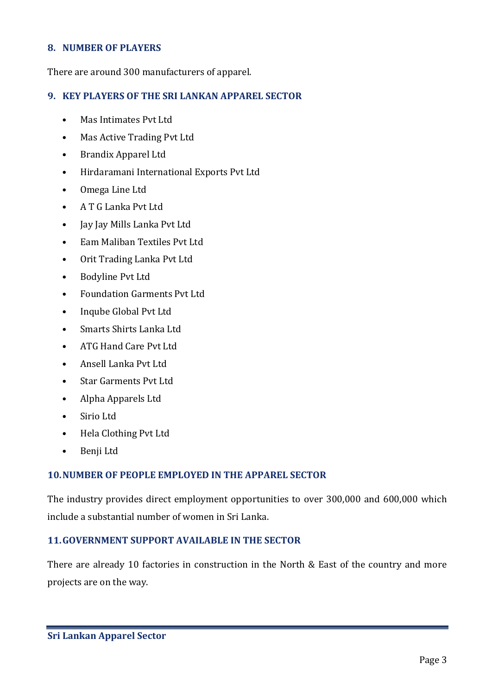#### <span id="page-4-0"></span>**8. NUMBER OF PLAYERS**

There are around 300 manufacturers of apparel.

#### <span id="page-4-1"></span>**9. KEY PLAYERS OF THE SRI LANKAN APPAREL SECTOR**

- Mas Intimates Pvt Ltd
- Mas Active Trading Pvt Ltd
- Brandix Apparel Ltd
- Hirdaramani International Exports Pvt Ltd
- Omega Line Ltd
- A T G Lanka Pvt Ltd
- Jay Jay Mills Lanka Pvt Ltd
- Eam Maliban Textiles Pvt Ltd
- Orit Trading Lanka Pvt Ltd
- Bodyline Pvt Ltd
- Foundation Garments Pvt Ltd
- Inqube Global Pvt Ltd
- Smarts Shirts Lanka Ltd
- ATG Hand Care Pvt Ltd
- Ansell Lanka Pvt Ltd
- Star Garments Pvt Ltd
- Alpha Apparels Ltd
- Sirio Ltd
- Hela Clothing Pvt Ltd
- Benji Ltd

#### <span id="page-4-2"></span>**10.NUMBER OF PEOPLE EMPLOYED IN THE APPAREL SECTOR**

The industry provides direct employment opportunities to over 300,000 and 600,000 which include a substantial number of women in Sri Lanka.

#### <span id="page-4-3"></span>**11.GOVERNMENT SUPPORT AVAILABLE IN THE SECTOR**

There are already 10 factories in construction in the North & East of the country and more projects are on the way.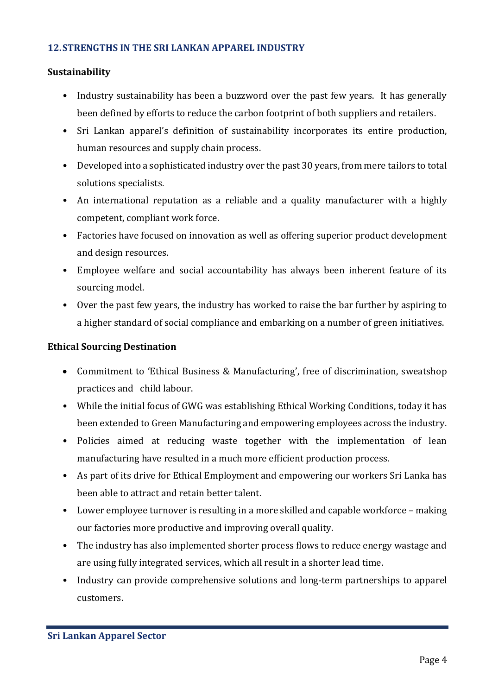#### <span id="page-5-0"></span>**12.STRENGTHS IN THE SRI LANKAN APPAREL INDUSTRY**

#### **Sustainability**

- Industry sustainability has been a buzzword over the past few years. It has generally been defined by efforts to reduce the carbon footprint of both suppliers and retailers.
- Sri Lankan apparel's definition of sustainability incorporates its entire production, human resources and supply chain process.
- Developed into a sophisticated industry over the past 30 years, from mere tailors to total solutions specialists.
- An international reputation as a reliable and a quality manufacturer with a highly competent, compliant work force.
- Factories have focused on innovation as well as offering superior product development and design resources.
- Employee welfare and social accountability has always been inherent feature of its sourcing model.
- Over the past few years, the industry has worked to raise the bar further by aspiring to a higher standard of social compliance and embarking on a number of green initiatives.

#### **Ethical Sourcing Destination**

- Commitment to 'Ethical Business & Manufacturing', free of discrimination, sweatshop practices and child labour.
- While the initial focus of GWG was establishing Ethical Working Conditions, today it has been extended to Green Manufacturing and empowering employees across the industry.
- Policies aimed at reducing waste together with the implementation of lean manufacturing have resulted in a much more efficient production process.
- As part of its drive for Ethical Employment and empowering our workers Sri Lanka has been able to attract and retain better talent.
- Lower employee turnover is resulting in a more skilled and capable workforce making our factories more productive and improving overall quality.
- The industry has also implemented shorter process flows to reduce energy wastage and are using fully integrated services, which all result in a shorter lead time.
- Industry can provide comprehensive solutions and long-term partnerships to apparel customers.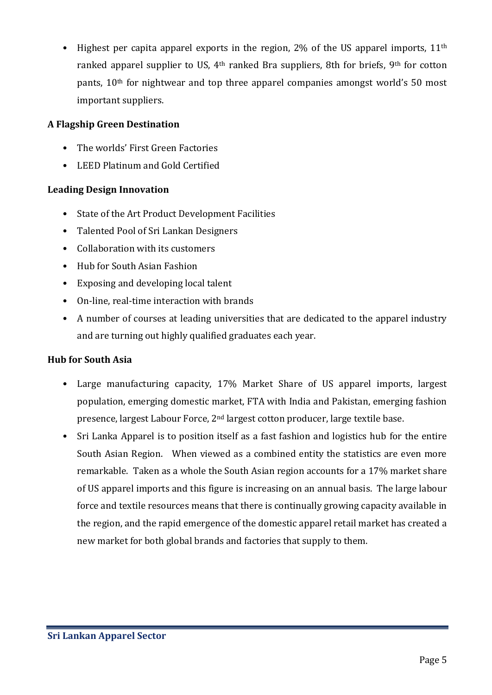Highest per capita apparel exports in the region,  $2\%$  of the US apparel imports,  $11<sup>th</sup>$ ranked apparel supplier to US, 4<sup>th</sup> ranked Bra suppliers, 8th for briefs, 9<sup>th</sup> for cotton pants, 10th for nightwear and top three apparel companies amongst world's 50 most important suppliers.

# **A Flagship Green Destination**

- The worlds' First Green Factories
- LEED Platinum and Gold Certified

# **Leading Design Innovation**

- State of the Art Product Development Facilities
- Talented Pool of Sri Lankan Designers
- Collaboration with its customers
- Hub for South Asian Fashion
- Exposing and developing local talent
- On-line, real-time interaction with brands
- A number of courses at leading universities that are dedicated to the apparel industry and are turning out highly qualified graduates each year.

# **Hub for South Asia**

- Large manufacturing capacity, 17% Market Share of US apparel imports, largest population, emerging domestic market, FTA with India and Pakistan, emerging fashion presence, largest Labour Force, 2nd largest cotton producer, large textile base.
- Sri Lanka Apparel is to position itself as a fast fashion and logistics hub for the entire South Asian Region. When viewed as a combined entity the statistics are even more remarkable. Taken as a whole the South Asian region accounts for a 17% market share of US apparel imports and this figure is increasing on an annual basis. The large labour force and textile resources means that there is continually growing capacity available in the region, and the rapid emergence of the domestic apparel retail market has created a new market for both global brands and factories that supply to them.